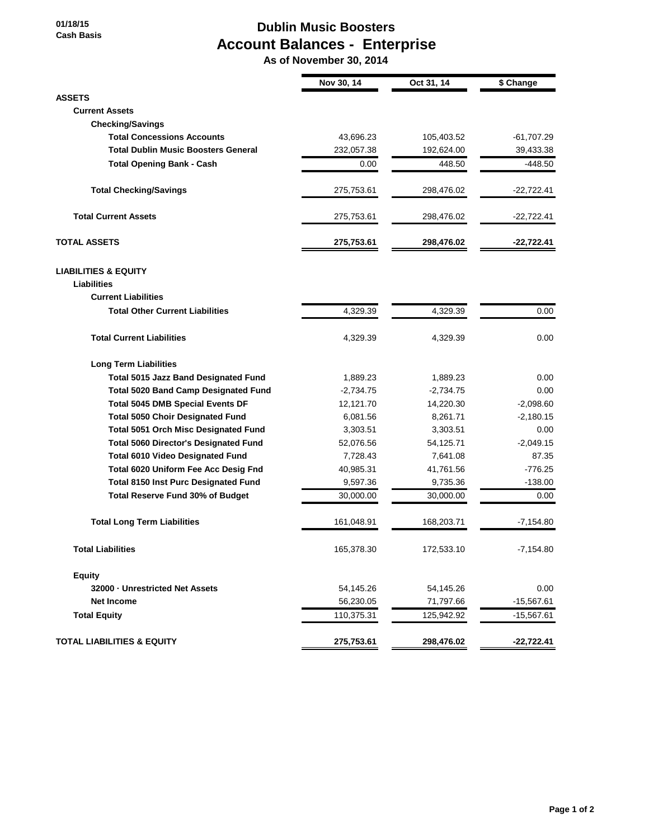**01/18/15 Cash Basis**

## **Dublin Music Boosters Account Balances - Enterprise**

 **As of November 30, 2014**

|                                              | Nov 30, 14  | Oct 31, 14  | \$ Change    |
|----------------------------------------------|-------------|-------------|--------------|
| <b>ASSETS</b>                                |             |             |              |
| <b>Current Assets</b>                        |             |             |              |
| <b>Checking/Savings</b>                      |             |             |              |
| <b>Total Concessions Accounts</b>            | 43,696.23   | 105,403.52  | $-61,707.29$ |
| <b>Total Dublin Music Boosters General</b>   | 232,057.38  | 192,624.00  | 39,433.38    |
| <b>Total Opening Bank - Cash</b>             | 0.00        | 448.50      | $-448.50$    |
| <b>Total Checking/Savings</b>                | 275,753.61  | 298,476.02  | $-22,722.41$ |
| <b>Total Current Assets</b>                  | 275,753.61  | 298,476.02  | $-22,722.41$ |
| <b>TOTAL ASSETS</b>                          | 275,753.61  | 298,476.02  | $-22,722.41$ |
| <b>LIABILITIES &amp; EQUITY</b>              |             |             |              |
| <b>Liabilities</b>                           |             |             |              |
| <b>Current Liabilities</b>                   |             |             |              |
| <b>Total Other Current Liabilities</b>       | 4,329.39    | 4,329.39    | 0.00         |
| <b>Total Current Liabilities</b>             | 4,329.39    | 4,329.39    | 0.00         |
| <b>Long Term Liabilities</b>                 |             |             |              |
| <b>Total 5015 Jazz Band Designated Fund</b>  | 1,889.23    | 1,889.23    | 0.00         |
| <b>Total 5020 Band Camp Designated Fund</b>  | $-2,734.75$ | $-2,734.75$ | 0.00         |
| <b>Total 5045 DMB Special Events DF</b>      | 12,121.70   | 14,220.30   | $-2,098.60$  |
| <b>Total 5050 Choir Designated Fund</b>      | 6,081.56    | 8,261.71    | $-2,180.15$  |
| <b>Total 5051 Orch Misc Designated Fund</b>  | 3,303.51    | 3,303.51    | 0.00         |
| <b>Total 5060 Director's Designated Fund</b> | 52,076.56   | 54,125.71   | $-2,049.15$  |
| <b>Total 6010 Video Designated Fund</b>      | 7,728.43    | 7,641.08    | 87.35        |
| Total 6020 Uniform Fee Acc Desig Fnd         | 40,985.31   | 41,761.56   | $-776.25$    |
| <b>Total 8150 Inst Purc Designated Fund</b>  | 9,597.36    | 9,735.36    | $-138.00$    |
| Total Reserve Fund 30% of Budget             | 30,000.00   | 30,000.00   | 0.00         |
| <b>Total Long Term Liabilities</b>           | 161,048.91  | 168,203.71  | $-7,154.80$  |
| <b>Total Liabilities</b>                     | 165,378.30  | 172,533.10  | $-7,154.80$  |
| <b>Equity</b>                                |             |             |              |
| 32000 - Unrestricted Net Assets              | 54,145.26   | 54,145.26   | 0.00         |
| <b>Net Income</b>                            | 56,230.05   | 71,797.66   | $-15,567.61$ |
| <b>Total Equity</b>                          | 110,375.31  | 125,942.92  | $-15,567.61$ |
| <b>TOTAL LIABILITIES &amp; EQUITY</b>        | 275,753.61  | 298,476.02  | $-22,722.41$ |